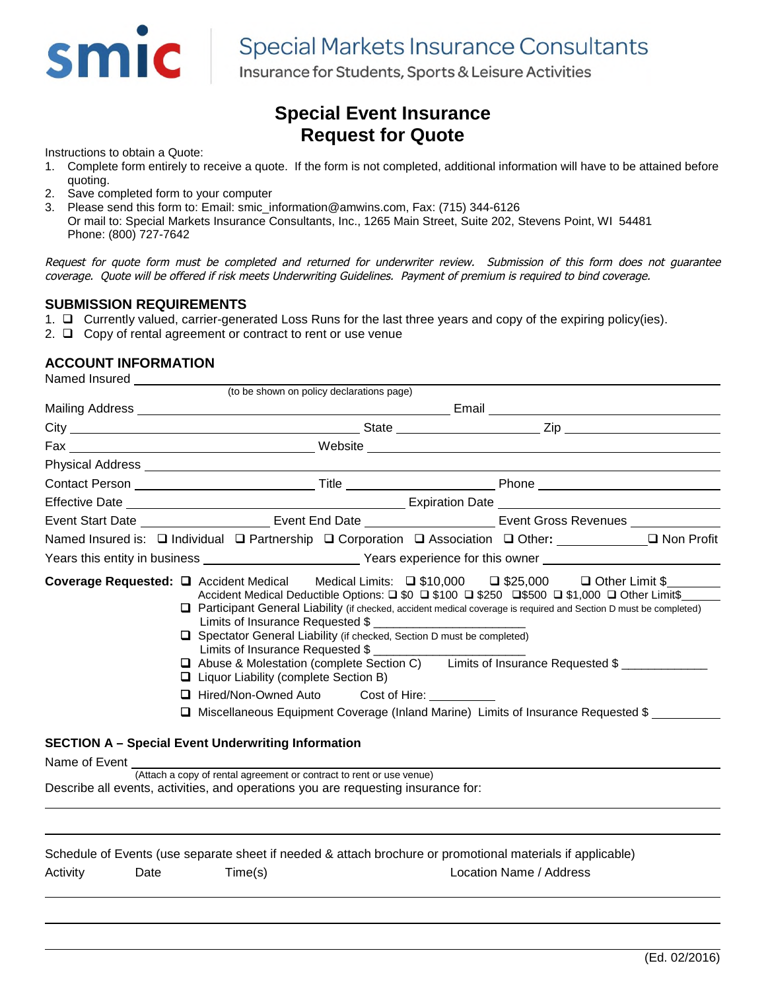

# **Special Markets Insurance Consultants**

Insurance for Students, Sports & Leisure Activities

## **Special Event Insurance Request for Quote**

Instructions to obtain a Quote:

- 1. Complete form entirely to receive a quote. If the form is not completed, additional information will have to be attained before quoting.
- 2. Save completed form to your computer
- 3. Please send thisform to:Email:smic\_information@ amwins.com,Fax:(715)344-6126 Or mail to: Special Markets Insurance Consultants, Inc., 1265 Main Street, Suite 202, Stevens Point, WI 54481 Phone: (800) 727-7642

Request for quote form must be completed and returned for underwriter review. Submission of this form does not guarantee coverage. Quote will be offered if risk meets Underwriting Guidelines. Payment of premium is required to bind coverage.

## **SUBMISSION REQUIREMENTS**

- 1. □ Currently valued, carrier-generated Loss Runs for the last three years and copy of the expiring policy(ies).
- 2.  $\Box$  Copy of rental agreement or contract to rent or use venue

#### **ACCOUNT INFORMATION** Named Insured

|               |                                                                                                                                                                 | (to be shown on policy declarations page)                            |  |                                                                                                                                                                                                                                                                                                                                                                                                                                                                                         |
|---------------|-----------------------------------------------------------------------------------------------------------------------------------------------------------------|----------------------------------------------------------------------|--|-----------------------------------------------------------------------------------------------------------------------------------------------------------------------------------------------------------------------------------------------------------------------------------------------------------------------------------------------------------------------------------------------------------------------------------------------------------------------------------------|
|               |                                                                                                                                                                 |                                                                      |  |                                                                                                                                                                                                                                                                                                                                                                                                                                                                                         |
|               |                                                                                                                                                                 |                                                                      |  |                                                                                                                                                                                                                                                                                                                                                                                                                                                                                         |
|               |                                                                                                                                                                 |                                                                      |  |                                                                                                                                                                                                                                                                                                                                                                                                                                                                                         |
|               |                                                                                                                                                                 |                                                                      |  |                                                                                                                                                                                                                                                                                                                                                                                                                                                                                         |
|               |                                                                                                                                                                 |                                                                      |  |                                                                                                                                                                                                                                                                                                                                                                                                                                                                                         |
|               |                                                                                                                                                                 |                                                                      |  |                                                                                                                                                                                                                                                                                                                                                                                                                                                                                         |
|               |                                                                                                                                                                 |                                                                      |  | Event Start Date ____________________________ Event End Date ___________________________ Event Gross Revenues _______________                                                                                                                                                                                                                                                                                                                                                           |
|               |                                                                                                                                                                 |                                                                      |  | Named Insured is: □ Individual □ Partnership □ Corporation □ Association □ Other: □ □ Non Profit                                                                                                                                                                                                                                                                                                                                                                                        |
|               |                                                                                                                                                                 |                                                                      |  | Years this entity in business ________________________Years experience for this owner ________________________                                                                                                                                                                                                                                                                                                                                                                          |
|               | □ Spectator General Liability (if checked, Section D must be completed)<br>$\Box$ Liquor Liability (complete Section B)<br>□ Hired/Non-Owned Auto Cost of Hire: | Limits of Insurance Requested \$<br>Limits of Insurance Requested \$ |  | Coverage Requested: Q Accident Medical Medical Limits: Q \$10,000 Q \$25,000 Q Other Limit \$<br>Accident Medical Deductible Options: □ \$0 □ \$100 □ \$250 □\$500 □ \$1,000 □ Other Limit\$<br>□ Participant General Liability (if checked, accident medical coverage is required and Section D must be completed)<br>□ Abuse & Molestation (complete Section C) Limits of Insurance Requested \$<br>Miscellaneous Equipment Coverage (Inland Marine) Limits of Insurance Requested \$ |
|               | <b>SECTION A - Special Event Underwriting Information</b>                                                                                                       |                                                                      |  |                                                                                                                                                                                                                                                                                                                                                                                                                                                                                         |
| Name of Event | (Attach a copy of rental agreement or contract to rent or use venue)                                                                                            |                                                                      |  |                                                                                                                                                                                                                                                                                                                                                                                                                                                                                         |
|               | Describe all events, activities, and operations you are requesting insurance for:                                                                               |                                                                      |  |                                                                                                                                                                                                                                                                                                                                                                                                                                                                                         |

|          |      | Schedule of Events (use separate sheet if needed & attach brochure or promotional materials if applicable) |                         |
|----------|------|------------------------------------------------------------------------------------------------------------|-------------------------|
| Activity | Date | Time(s)                                                                                                    | Location Name / Address |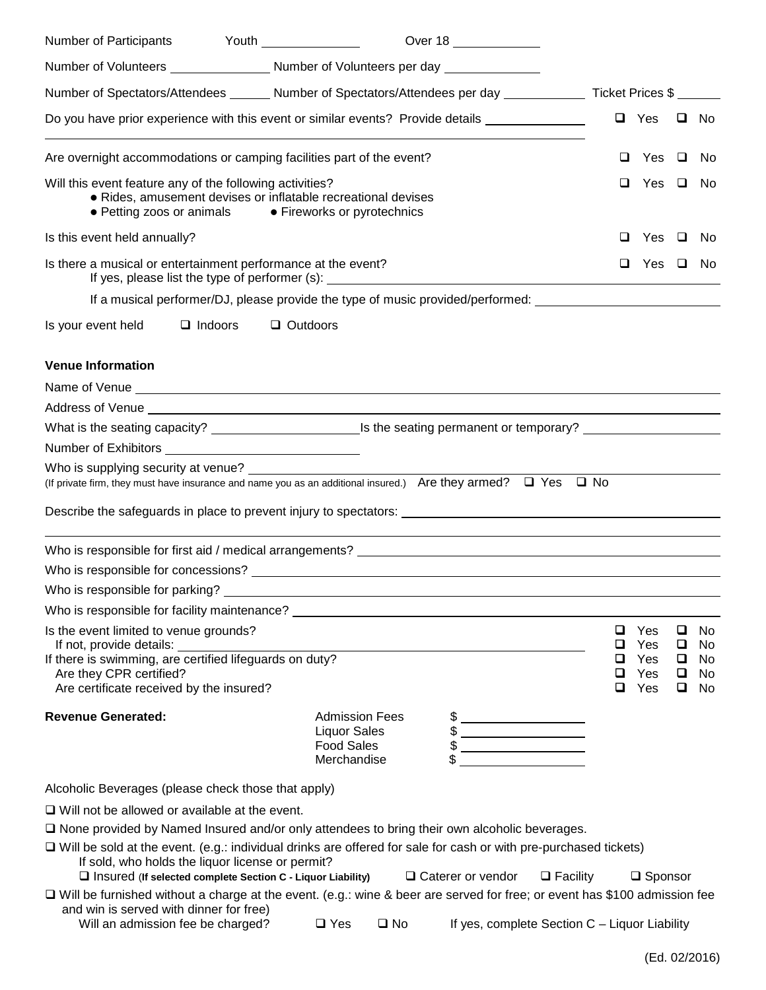| Number of Participants Youth Number of Participants                                                                                                                                                                                               |                |                                                                                  |              | Over 18                                                            |                                                                     |                       |                                 |                                 |                            |  |
|---------------------------------------------------------------------------------------------------------------------------------------------------------------------------------------------------------------------------------------------------|----------------|----------------------------------------------------------------------------------|--------------|--------------------------------------------------------------------|---------------------------------------------------------------------|-----------------------|---------------------------------|---------------------------------|----------------------------|--|
|                                                                                                                                                                                                                                                   |                |                                                                                  |              |                                                                    |                                                                     |                       |                                 |                                 |                            |  |
| Number of Spectators/Attendees _______ Number of Spectators/Attendees per day ____________ Ticket Prices \$                                                                                                                                       |                |                                                                                  |              |                                                                    |                                                                     |                       |                                 |                                 |                            |  |
| Do you have prior experience with this event or similar events? Provide details ___________________                                                                                                                                               |                |                                                                                  |              |                                                                    |                                                                     |                       | $\Box$ Yes                      |                                 | $\Box$ No                  |  |
| Are overnight accommodations or camping facilities part of the event?                                                                                                                                                                             |                |                                                                                  |              |                                                                    |                                                                     | ⊔                     | Yes                             | □                               | No.                        |  |
| Will this event feature any of the following activities?<br>• Rides, amusement devises or inflatable recreational devises<br>• Petting zoos or animals • Fireworks or pyrotechnics                                                                |                |                                                                                  |              |                                                                    |                                                                     | ◻                     | Yes                             | $\Box$                          | - No                       |  |
| Is this event held annually?                                                                                                                                                                                                                      |                |                                                                                  |              |                                                                    |                                                                     | ப                     | Yes □                           |                                 | - No                       |  |
| Is there a musical or entertainment performance at the event?<br>If yes, please list the type of performer (s): _________________________________                                                                                                 |                |                                                                                  |              |                                                                    |                                                                     | ⊔                     | Yes □                           |                                 | - No                       |  |
| If a musical performer/DJ, please provide the type of music provided/performed: _____________________________                                                                                                                                     |                |                                                                                  |              |                                                                    |                                                                     |                       |                                 |                                 |                            |  |
| Is your event held                                                                                                                                                                                                                                | $\Box$ Indoors | $\Box$ Outdoors                                                                  |              |                                                                    |                                                                     |                       |                                 |                                 |                            |  |
| <b>Venue Information</b>                                                                                                                                                                                                                          |                |                                                                                  |              |                                                                    |                                                                     |                       |                                 |                                 |                            |  |
|                                                                                                                                                                                                                                                   |                |                                                                                  |              |                                                                    |                                                                     |                       |                                 |                                 |                            |  |
| Address of Venue <b>contract and the contract of the contract of the contract of the contract of the contract of the contract of the contract of the contract of the contract of the contract of the contract of the contract of</b>              |                |                                                                                  |              |                                                                    |                                                                     |                       |                                 |                                 |                            |  |
|                                                                                                                                                                                                                                                   |                |                                                                                  |              |                                                                    |                                                                     |                       |                                 |                                 |                            |  |
|                                                                                                                                                                                                                                                   |                |                                                                                  |              |                                                                    |                                                                     |                       |                                 |                                 |                            |  |
| (If private firm, they must have insurance and name you as an additional insured.) Are they armed? $\Box$ Yes $\Box$ No                                                                                                                           |                |                                                                                  |              |                                                                    |                                                                     |                       |                                 |                                 |                            |  |
|                                                                                                                                                                                                                                                   |                |                                                                                  |              |                                                                    |                                                                     |                       |                                 |                                 |                            |  |
| Who is responsible for first aid / medical arrangements?<br>Who is responsible for first aid / medical arrangements?                                                                                                                              |                |                                                                                  |              |                                                                    |                                                                     |                       |                                 |                                 |                            |  |
| Who is responsible for concessions? Network and the contract of the contract of the contract of the contract of the contract of the contract of the contract of the contract of the contract of the contract of the contract o                    |                |                                                                                  |              |                                                                    |                                                                     |                       |                                 |                                 |                            |  |
| Who is responsible for parking?                                                                                                                                                                                                                   |                |                                                                                  |              |                                                                    |                                                                     |                       |                                 |                                 |                            |  |
| Who is responsible for facility maintenance? ___________________________________                                                                                                                                                                  |                |                                                                                  |              |                                                                    |                                                                     |                       |                                 |                                 |                            |  |
| Is the event limited to venue grounds?<br>If there is swimming, are certified lifeguards on duty?<br>Are they CPR certified?                                                                                                                      |                |                                                                                  |              | <u> 1980 - Jan Samuel Barbara, margaret eta idazlea (h. 1980).</u> |                                                                     | □<br>❏<br>Q<br>❏<br>□ | Yes<br>Yes<br>Yes<br>Yes<br>Yes | $\Box$<br>□<br>□<br>$\Box$<br>O | No<br>No<br>No<br>No<br>No |  |
| Are certificate received by the insured?                                                                                                                                                                                                          |                |                                                                                  |              |                                                                    |                                                                     |                       |                                 |                                 |                            |  |
| <b>Revenue Generated:</b>                                                                                                                                                                                                                         |                | <b>Admission Fees</b><br><b>Liquor Sales</b><br><b>Food Sales</b><br>Merchandise |              | \$<br>\$<br>\$                                                     | $\overline{\phantom{a}}$ . The contract of $\overline{\phantom{a}}$ |                       |                                 |                                 |                            |  |
| Alcoholic Beverages (please check those that apply)                                                                                                                                                                                               |                |                                                                                  |              |                                                                    |                                                                     |                       |                                 |                                 |                            |  |
| $\Box$ Will not be allowed or available at the event.                                                                                                                                                                                             |                |                                                                                  |              |                                                                    |                                                                     |                       |                                 |                                 |                            |  |
| □ None provided by Named Insured and/or only attendees to bring their own alcoholic beverages.                                                                                                                                                    |                |                                                                                  |              |                                                                    |                                                                     |                       |                                 |                                 |                            |  |
| $\Box$ Will be sold at the event. (e.g.: individual drinks are offered for sale for cash or with pre-purchased tickets)<br>If sold, who holds the liquor license or permit?<br>$\Box$ Insured (If selected complete Section C - Liquor Liability) |                |                                                                                  |              | □ Caterer or vendor                                                | $\Box$ Facility                                                     |                       | $\square$ Sponsor               |                                 |                            |  |
| □ Will be furnished without a charge at the event. (e.g.: wine & beer are served for free; or event has \$100 admission fee<br>and win is served with dinner for free)<br>Will an admission fee be charged?                                       |                | $\square$ Yes                                                                    | $\square$ No |                                                                    | If yes, complete Section C - Liquor Liability                       |                       |                                 |                                 |                            |  |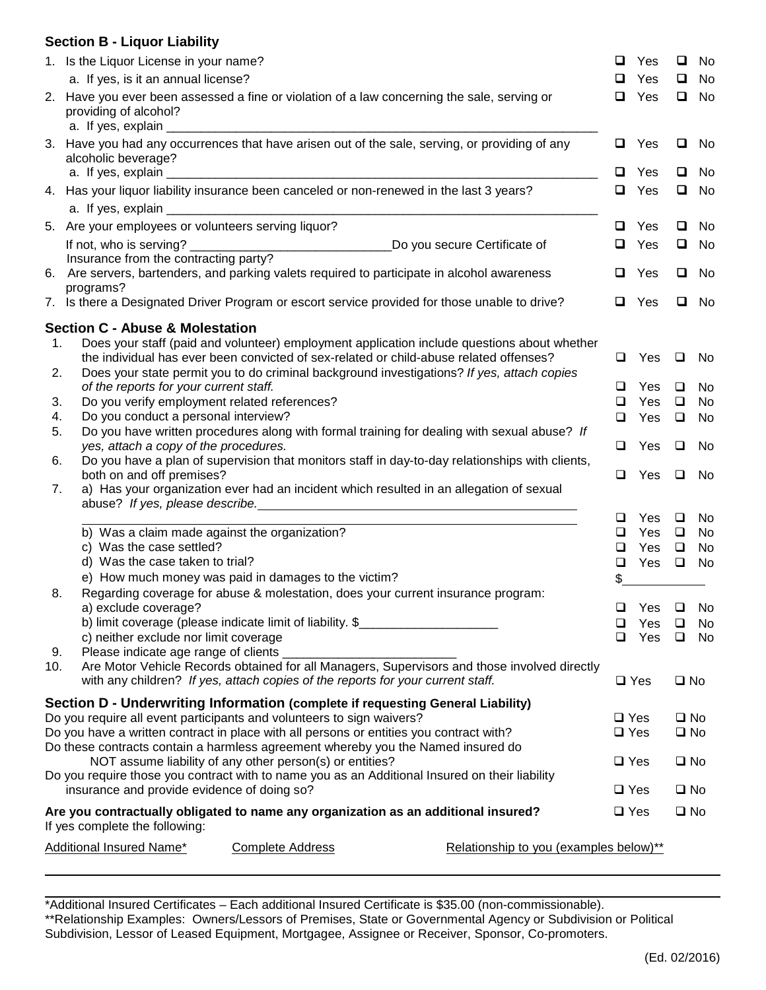## **Section B -Liquor Liability**

|     | 1. Is the Liquor License in your name?                                                                                                                                                | ப             | Yes                  | ❏                | No           |
|-----|---------------------------------------------------------------------------------------------------------------------------------------------------------------------------------------|---------------|----------------------|------------------|--------------|
|     | a. If yes, is it an annual license?                                                                                                                                                   | ❏             | Yes                  | Q                | No           |
|     | 2. Have you ever been assessed a fine or violation of a law concerning the sale, serving or<br>providing of alcohol?<br>a. If yes, explain __                                         | ❏             | Yes                  | $\Box$           | No           |
|     | 3. Have you had any occurrences that have arisen out of the sale, serving, or providing of any<br>alcoholic beverage?<br>a. If yes, explain _                                         | Q<br>O        | Yes<br>Yes           | $\Box$<br>$\Box$ | No<br>No     |
|     | 4. Has your liquor liability insurance been canceled or non-renewed in the last 3 years?                                                                                              |               | Yes                  | Q                | No           |
|     |                                                                                                                                                                                       |               |                      |                  |              |
|     | 5. Are your employees or volunteers serving liquor?                                                                                                                                   | O             | Yes                  | Q                | No           |
|     |                                                                                                                                                                                       | O             | Yes                  | Q                | No           |
|     | Insurance from the contracting party?<br>6. Are servers, bartenders, and parking valets required to participate in alcohol awareness<br>programs?                                     | u             | Yes                  | $\Box$           | No           |
|     | 7. Is there a Designated Driver Program or escort service provided for those unable to drive?                                                                                         | u.            | Yes                  | $\Box$           | No           |
|     | <b>Section C - Abuse &amp; Molestation</b>                                                                                                                                            |               |                      |                  |              |
| 1.  | Does your staff (paid and volunteer) employment application include questions about whether<br>the individual has ever been convicted of sex-related or child-abuse related offenses? | $\Box$        | Yes                  | $\Box$           | No           |
| 2.  | Does your state permit you to do criminal background investigations? If yes, attach copies                                                                                            | ◻             |                      | $\Box$           |              |
| 3.  | of the reports for your current staff.<br>Do you verify employment related references?                                                                                                | ❏             | Yes<br>Yes           | $\Box$           | No<br>No     |
| 4.  | Do you conduct a personal interview?                                                                                                                                                  | $\Box$        | Yes                  | $\Box$           | No           |
| 5.  | Do you have written procedures along with formal training for dealing with sexual abuse? If                                                                                           | ❏             |                      | $\Box$           |              |
| 6.  | yes, attach a copy of the procedures.<br>Do you have a plan of supervision that monitors staff in day-to-day relationships with clients,                                              |               | Yes                  |                  | No           |
|     | both on and off premises?                                                                                                                                                             | ◻             | Yes                  | $\Box$           | No           |
| 7.  | a) Has your organization ever had an incident which resulted in an allegation of sexual                                                                                               |               |                      |                  |              |
|     | b) Was a claim made against the organization?                                                                                                                                         | ⊔<br>❏        | Yes<br>Yes           | $\Box$<br>$\Box$ | No<br>No     |
|     | c) Was the case settled?                                                                                                                                                              | ◻             | Yes                  |                  | $\square$ No |
|     | d) Was the case taken to trial?                                                                                                                                                       | ❏             | Yes                  |                  | $\square$ No |
|     | e) How much money was paid in damages to the victim?                                                                                                                                  | \$            |                      |                  |              |
| 8.  | Regarding coverage for abuse & molestation, does your current insurance program:                                                                                                      |               |                      |                  |              |
|     | a) exclude coverage?<br>b) limit coverage (please indicate limit of liability. \$                                                                                                     |               | $\Box$ Yes $\Box$ No |                  |              |
|     | c) neither exclude nor limit coverage                                                                                                                                                 | ⊔<br>□        | Yes<br>Yes           | $\Box$<br>$\Box$ | No<br>No     |
| 9.  | Please indicate age range of clients                                                                                                                                                  |               |                      |                  |              |
| 10. | Are Motor Vehicle Records obtained for all Managers, Supervisors and those involved directly<br>with any children? If yes, attach copies of the reports for your current staff.       |               | $\square$ Yes        | $\square$ No     |              |
|     | Section D - Underwriting Information (complete if requesting General Liability)                                                                                                       |               |                      |                  |              |
|     | Do you require all event participants and volunteers to sign waivers?                                                                                                                 | $\square$ Yes |                      | $\square$ No     |              |
|     | Do you have a written contract in place with all persons or entities you contract with?                                                                                               | $\square$ Yes |                      | $\square$ No     |              |
|     | Do these contracts contain a harmless agreement whereby you the Named insured do                                                                                                      |               |                      |                  |              |
|     | NOT assume liability of any other person(s) or entities?<br>Do you require those you contract with to name you as an Additional Insured on their liability                            | $\Box$ Yes    |                      | $\square$ No     |              |
|     | insurance and provide evidence of doing so?                                                                                                                                           | $\square$ Yes |                      | $\square$ No     |              |
|     | Are you contractually obligated to name any organization as an additional insured?<br>If yes complete the following:                                                                  | $\square$ Yes |                      | $\square$ No     |              |
|     | <b>Additional Insured Name*</b><br><b>Complete Address</b><br>Relationship to you (examples below)**                                                                                  |               |                      |                  |              |
|     |                                                                                                                                                                                       |               |                      |                  |              |

\*Additional Insured Certificates – Each additional Insured Certificate is \$35.00 (non-commissionable). \*\*Relationship Examples: Owners/Lessors of Premises, State or Governmental Agency or Subdivision or Political Subdivision, Lessor of Leased Equipment, Mortgagee, Assignee or Receiver, Sponsor, Co-promoters.